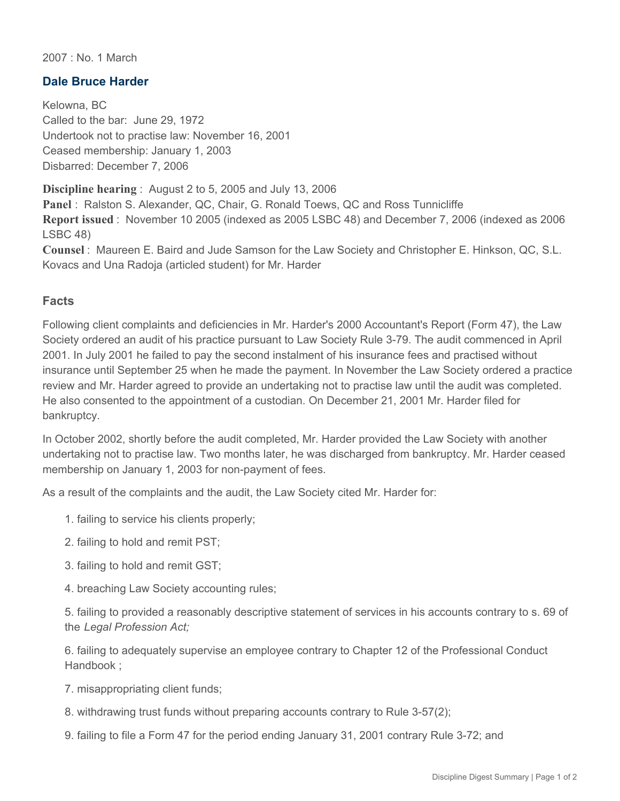2007 : No. 1 March

## **Dale Bruce Harder**

Kelowna, BC Called to the bar: June 29, 1972 Undertook not to practise law: November 16, 2001 Ceased membership: January 1, 2003 Disbarred: December 7, 2006

**Discipline hearing** : August 2 to 5, 2005 and July 13, 2006

**Panel** : Ralston S. Alexander, QC, Chair, G. Ronald Toews, QC and Ross Tunnicliffe **Report issued** : November 10 2005 (indexed as 2005 LSBC 48) and December 7, 2006 (indexed as 2006 LSBC 48)

**Counsel** : Maureen E. Baird and Jude Samson for the Law Society and Christopher E. Hinkson, QC, S.L. Kovacs and Una Radoja (articled student) for Mr. Harder

## **Facts**

Following client complaints and deficiencies in Mr. Harder's 2000 Accountant's Report (Form 47), the Law Society ordered an audit of his practice pursuant to Law Society Rule 3-79. The audit commenced in April 2001. In July 2001 he failed to pay the second instalment of his insurance fees and practised without insurance until September 25 when he made the payment. In November the Law Society ordered a practice review and Mr. Harder agreed to provide an undertaking not to practise law until the audit was completed. He also consented to the appointment of a custodian. On December 21, 2001 Mr. Harder filed for bankruptcy.

In October 2002, shortly before the audit completed, Mr. Harder provided the Law Society with another undertaking not to practise law. Two months later, he was discharged from bankruptcy. Mr. Harder ceased membership on January 1, 2003 for non-payment of fees.

As a result of the complaints and the audit, the Law Society cited Mr. Harder for:

- 1. failing to service his clients properly;
- 2. failing to hold and remit PST;
- 3. failing to hold and remit GST;
- 4. breaching Law Society accounting rules;

5. failing to provided a reasonably descriptive statement of services in his accounts contrary to s. 69 of the *Legal Profession Act;* 

6. failing to adequately supervise an employee contrary to Chapter 12 of the Professional Conduct Handbook ;

- 7. misappropriating client funds;
- 8. withdrawing trust funds without preparing accounts contrary to Rule 3-57(2);
- 9. failing to file a Form 47 for the period ending January 31, 2001 contrary Rule 3-72; and